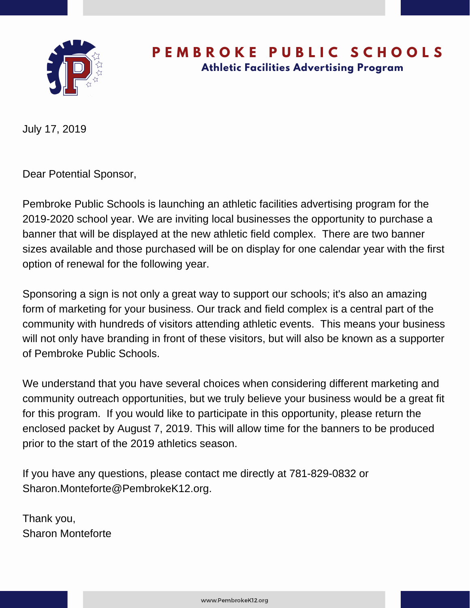

### **P E M B R O K E P U B L I C S C H O O L S Athletic Facilities Advertising Program**

July 17, 2019

Dear Potential Sponsor,

Pembroke Public Schools is launching an athletic facilities advertising program for the 2019-2020 school year. We are inviting local businesses the opportunity to purchase a banner that will be displayed at the new athletic field complex. There are two banner sizes available and those purchased will be on display for one calendar year with the first option of renewal for the following year.

Sponsoring a sign is not only a great way to support our schools; it's also an amazing form of marketing for your business. Our track and field complex is a central part of the community with hundreds of visitors attending athletic events. This means your business will not only have branding in front of these visitors, but will also be known as a supporter of Pembroke Public Schools.

We understand that you have several choices when considering different marketing and community outreach opportunities, but we truly believe your business would be a great fit for this program. If you would like to participate in this opportunity, please return the enclosed packet by August 7, 2019. This will allow time for the banners to be produced prior to the start of the 2019 athletics season.

If you have any questions, please contact me directly at 781-829-0832 or Sharon.Monteforte@PembrokeK12.org.

Thank you, Sharon Monteforte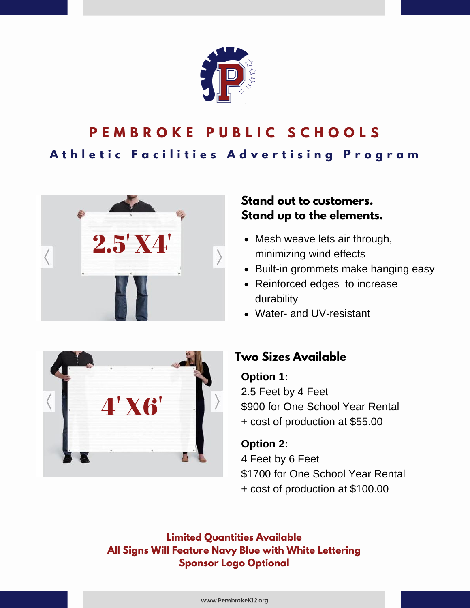

# **P E M B R O K E P U B L I C S C H O O L S** Athletic Facilities Advertising Program



#### **Stand out to customers. Stand up to the elements.**

- Mesh weave lets air through, minimizing wind effects
- Built-in grommets make hanging easy
- Reinforced edges to increase durability
- Water- and UV-resistant



#### **Two Sizes Available**

#### **Option 1:**

2.5 Feet by 4 Feet \$900 for One School Year Rental + cost of production at \$55.00

**Option 2:** 4 Feet by 6 Feet \$1700 for One School Year Rental + cost of production at \$100.00

**Limited Quantities Available All Signs Will Feature Navy Blue with White Lettering Sponsor Logo Optional**

www.PembrokeK12.org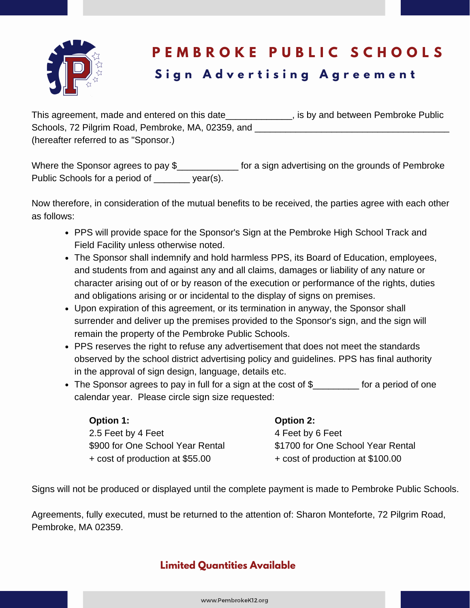

## **P E M B R O K E P U B L I C S C H O O L S S i g n A d v e r t i s i n g A g r e e m e n t**

| This agreement, made and entered on this date      | , is by and between Pembroke Public |
|----------------------------------------------------|-------------------------------------|
| Schools, 72 Pilgrim Road, Pembroke, MA, 02359, and |                                     |
| (hereafter referred to as "Sponsor.)               |                                     |

Where the Sponsor agrees to pay \$\_\_\_\_\_\_\_\_\_\_\_\_\_\_\_ for a sign advertising on the grounds of Pembroke Public Schools for a period of year(s).

Now therefore, in consideration of the mutual benefits to be received, the parties agree with each other as follows:

- PPS will provide space for the Sponsor's Sign at the Pembroke High School Track and Field Facility unless otherwise noted.
- The Sponsor shall indemnify and hold harmless PPS, its Board of Education, employees, and students from and against any and all claims, damages or liability of any nature or character arising out of or by reason of the execution or performance of the rights, duties and obligations arising or or incidental to the display of signs on premises.
- Upon expiration of this agreement, or its termination in anyway, the Sponsor shall surrender and deliver up the premises provided to the Sponsor's sign, and the sign will remain the property of the Pembroke Public Schools.
- PPS reserves the right to refuse any advertisement that does not meet the standards observed by the school district advertising policy and guidelines. PPS has final authority in the approval of sign design, language, details etc.
- The Sponsor agrees to pay in full for a sign at the cost of \$ for a period of one calendar year. Please circle sign size requested:

| <b>Option 1:</b>                 | <b>Option 2:</b>                  |
|----------------------------------|-----------------------------------|
| 2.5 Feet by 4 Feet               | 4 Feet by 6 Feet                  |
| \$900 for One School Year Rental | \$1700 for One School Year Rental |
| + cost of production at \$55.00  | + cost of production at \$100.00  |

Signs will not be produced or displayed until the complete payment is made to Pembroke Public Schools.

Agreements, fully executed, must be returned to the attention of: Sharon Monteforte, 72 Pilgrim Road, Pembroke, MA 02359.

#### **Limited Quantities Available**

www.PembrokeK12.org